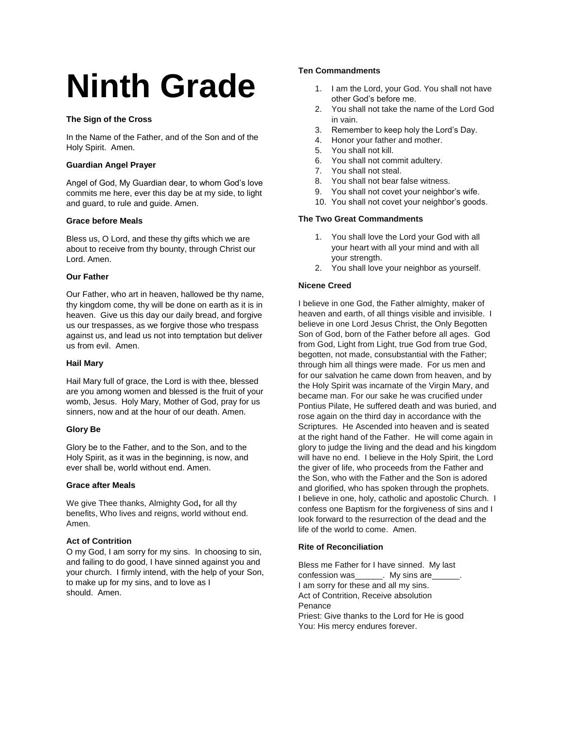# **Ninth Grade**

## **The Sign of the Cross**

In the Name of the Father, and of the Son and of the Holy Spirit. Amen.

## **Guardian Angel Prayer**

Angel of God, My Guardian dear, to whom God's love commits me here, ever this day be at my side, to light and guard, to rule and guide. Amen.

## **Grace before Meals**

Bless us, O Lord, and these thy gifts which we are about to receive from thy bounty, through Christ our Lord. Amen.

## **Our Father**

Our Father, who art in heaven, hallowed be thy name, thy kingdom come, thy will be done on earth as it is in heaven. Give us this day our daily bread, and forgive us our trespasses, as we forgive those who trespass against us, and lead us not into temptation but deliver us from evil. Amen.

## **Hail Mary**

Hail Mary full of grace, the Lord is with thee, blessed are you among women and blessed is the fruit of your womb, Jesus. Holy Mary, Mother of God, pray for us sinners, now and at the hour of our death. Amen.

## **Glory Be**

Glory be to the Father, and to the Son, and to the Holy Spirit, as it was in the beginning, is now, and ever shall be, world without end. Amen.

## **Grace after Meals**

We give Thee thanks, Almighty God**,** for all thy benefits, Who lives and reigns, world without end. Amen.

## **Act of Contrition**

O my God, I am sorry for my sins. In choosing to sin, and failing to do good, I have sinned against you and your church. I firmly intend, with the help of your Son, to make up for my sins, and to love as I should. Amen.

## **Ten Commandments**

- 1. I am the Lord, your God. You shall not have other God's before me.
- 2. You shall not take the name of the Lord God in vain.
- 3. Remember to keep holy the Lord's Day.
- 4. Honor your father and mother.
- 5. You shall not kill.
- 6. You shall not commit adultery.
- 7. You shall not steal.
- 8. You shall not bear false witness.
- 9. You shall not covet your neighbor's wife.
- 10. You shall not covet your neighbor's goods.

## **The Two Great Commandments**

- 1. You shall love the Lord your God with all your heart with all your mind and with all your strength.
- 2. You shall love your neighbor as yourself.

## **Nicene Creed**

I believe in one God, the Father almighty, maker of heaven and earth, of all things visible and invisible. I believe in one Lord Jesus Christ, the Only Begotten Son of God, born of the Father before all ages. God from God, Light from Light, true God from true God, begotten, not made, consubstantial with the Father; through him all things were made. For us men and for our salvation he came down from heaven, and by the Holy Spirit was incarnate of the Virgin Mary, and became man. For our sake he was crucified under Pontius Pilate, He suffered death and was buried, and rose again on the third day in accordance with the Scriptures. He Ascended into heaven and is seated at the right hand of the Father. He will come again in glory to judge the living and the dead and his kingdom will have no end. I believe in the Holy Spirit, the Lord the giver of life, who proceeds from the Father and the Son, who with the Father and the Son is adored and glorified, who has spoken through the prophets. I believe in one, holy, catholic and apostolic Church. I confess one Baptism for the forgiveness of sins and I look forward to the resurrection of the dead and the life of the world to come. Amen.

#### **Rite of Reconciliation**

Bless me Father for I have sinned. My last confession was The My sins are I am sorry for these and all my sins. Act of Contrition, Receive absolution Penance Priest: Give thanks to the Lord for He is good You: His mercy endures forever.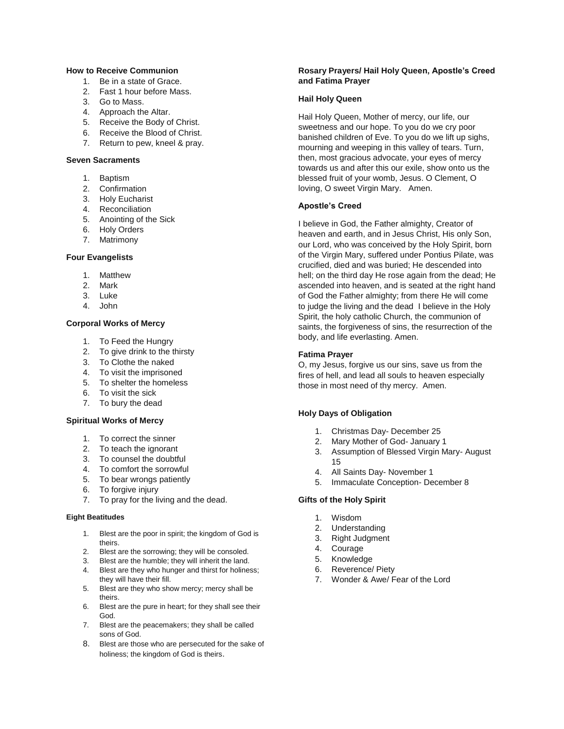#### **How to Receive Communion**

- 1. Be in a state of Grace.
- 2. Fast 1 hour before Mass.
- 3. Go to Mass.
- 4. Approach the Altar.
- 5. Receive the Body of Christ.
- 6. Receive the Blood of Christ.
- 7. Return to pew, kneel & pray.

#### **Seven Sacraments**

- 1. Baptism
- 2. Confirmation
- 3. Holy Eucharist
- 4. Reconciliation
- 5. Anointing of the Sick
- 6. Holy Orders
- 7. Matrimony

#### **Four Evangelists**

- 1. Matthew
- 2. Mark
- 3. Luke
- 4. John

## **Corporal Works of Mercy**

- 1. To Feed the Hungry
- 2. To give drink to the thirsty
- 3. To Clothe the naked
- 4. To visit the imprisoned
- 5. To shelter the homeless
- 6. To visit the sick
- 7. To bury the dead

#### **Spiritual Works of Mercy**

- 1. To correct the sinner
- 2. To teach the ignorant
- 3. To counsel the doubtful
- 4. To comfort the sorrowful
- 5. To bear wrongs patiently
- 6. To forgive injury
- 7. To pray for the living and the dead.

#### **Eight Beatitudes**

- 1. Blest are the poor in spirit; the kingdom of God is theirs.
- 2. Blest are the sorrowing; they will be consoled.
- 3. Blest are the humble; they will inherit the land. 4. Blest are they who hunger and thirst for holiness;
- they will have their fill. 5. Blest are they who show mercy; mercy shall be
- theirs. 6. Blest are the pure in heart; for they shall see their God.
- 7. Blest are the peacemakers; they shall be called sons of God.
- 8. Blest are those who are persecuted for the sake of holiness; the kingdom of God is theirs.

## **Rosary Prayers/ Hail Holy Queen, Apostle's Creed and Fatima Prayer**

#### **Hail Holy Queen**

Hail Holy Queen, Mother of mercy, our life, our sweetness and our hope. To you do we cry poor banished children of Eve. To you do we lift up sighs, mourning and weeping in this valley of tears. Turn, then, most gracious advocate, your eyes of mercy towards us and after this our exile, show onto us the blessed fruit of your womb, Jesus. O Clement, O loving, O sweet Virgin Mary. Amen.

#### **Apostle's Creed**

I believe in God, the Father almighty, Creator of heaven and earth, and in Jesus Christ, His only Son, our Lord, who was conceived by the Holy Spirit, born of the Virgin Mary, suffered under Pontius Pilate, was crucified, died and was buried; He descended into hell; on the third day He rose again from the dead; He ascended into heaven, and is seated at the right hand of God the Father almighty; from there He will come to judge the living and the dead I believe in the Holy Spirit, the holy catholic Church, the communion of saints, the forgiveness of sins, the resurrection of the body, and life everlasting. Amen.

#### **Fatima Prayer**

O, my Jesus, forgive us our sins, save us from the fires of hell, and lead all souls to heaven especially those in most need of thy mercy. Amen.

#### **Holy Days of Obligation**

- 1. Christmas Day- December 25
- 2. Mary Mother of God- January 1
- 3. Assumption of Blessed Virgin Mary- August 15
- 4. All Saints Day- November 1
- 5. Immaculate Conception- December 8

#### **Gifts of the Holy Spirit**

- 1. Wisdom
- 2. Understanding
- 3. Right Judgment
- 4. Courage
- 5. Knowledge
- 6. Reverence/ Piety
- 7. Wonder & Awe/ Fear of the Lord